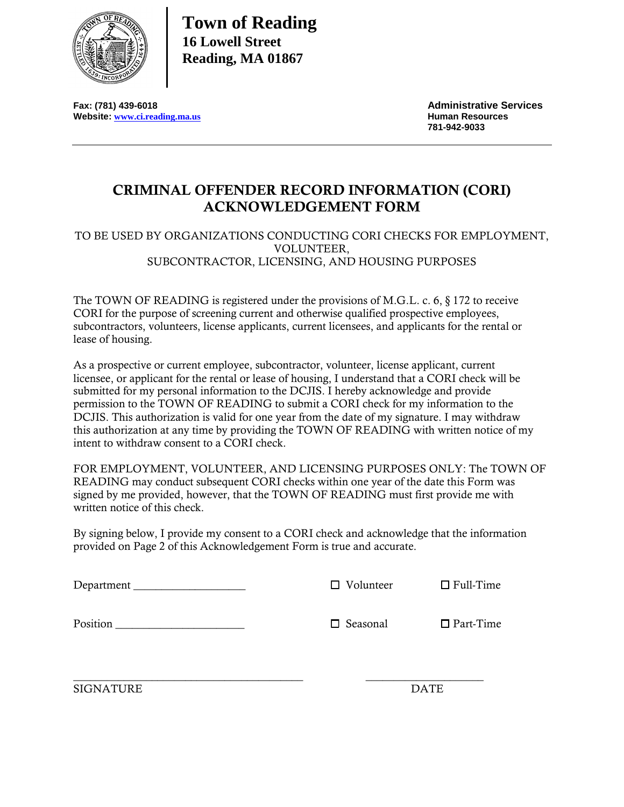

**Town of Reading 16 Lowell Street Reading, MA 01867**

**Fax: (781) 439-6018**<br>
Website: www.ci.reading.ma.us<br>
Website: www.ci.reading.ma.us **Website: [www.ci.reading.ma.us](http://www.ci.reading.ma.us/)** 

 **781-942-9033**

## **CRIMINAL OFFENDER RECORD INFORMATION (CORI) ACKNOWLEDGEMENT FORM**

## TO BE USED BY ORGANIZATIONS CONDUCTING CORI CHECKS FOR EMPLOYMENT, VOLUNTEER, SUBCONTRACTOR, LICENSING, AND HOUSING PURPOSES

The TOWN OF READING is registered under the provisions of M.G.L. c. 6, § 172 to receive CORI for the purpose of screening current and otherwise qualified prospective employees, subcontractors, volunteers, license applicants, current licensees, and applicants for the rental or lease of housing.

As a prospective or current employee, subcontractor, volunteer, license applicant, current licensee, or applicant for the rental or lease of housing, I understand that a CORI check will be submitted for my personal information to the DCJIS. I hereby acknowledge and provide permission to the TOWN OF READING to submit a CORI check for my information to the DCJIS. This authorization is valid for one year from the date of my signature. I may withdraw this authorization at any time by providing the TOWN OF READING with written notice of my intent to withdraw consent to a CORI check.

FOR EMPLOYMENT, VOLUNTEER, AND LICENSING PURPOSES ONLY: The TOWN OF READING may conduct subsequent CORI checks within one year of the date this Form was signed by me provided, however, that the TOWN OF READING must first provide me with written notice of this check.

By signing below, I provide my consent to a CORI check and acknowledge that the information provided on Page 2 of this Acknowledgement Form is true and accurate.

| Department | $\Box$ Volunteer | $\Box$ Full-Time |
|------------|------------------|------------------|
| Position   | $\Box$ Seasonal  | $\Box$ Part-Time |
|            |                  |                  |

SIGNATURE DATE

\_\_\_\_\_\_\_\_\_\_\_\_\_\_\_\_\_\_\_\_\_\_\_\_\_\_\_\_\_\_\_\_\_\_\_\_\_\_\_\_\_ \_\_\_\_\_\_\_\_\_\_\_\_\_\_\_\_\_\_\_\_\_